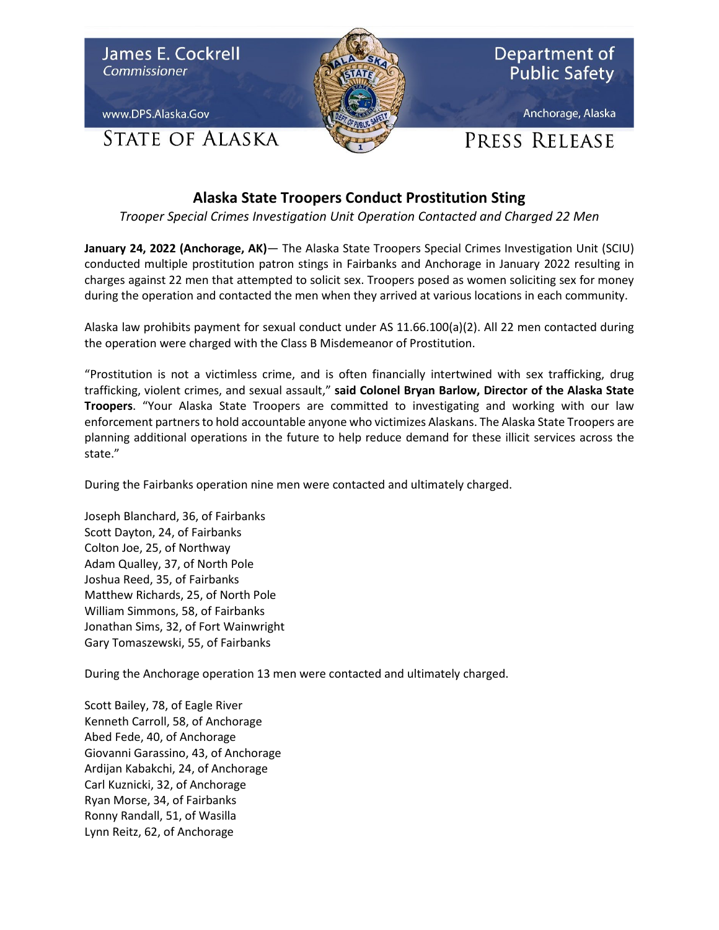

## **Alaska State Troopers Conduct Prostitution Sting**

*Trooper Special Crimes Investigation Unit Operation Contacted and Charged 22 Men*

**January 24, 2022 (Anchorage, AK)**— The Alaska State Troopers Special Crimes Investigation Unit (SCIU) conducted multiple prostitution patron stings in Fairbanks and Anchorage in January 2022 resulting in charges against 22 men that attempted to solicit sex. Troopers posed as women soliciting sex for money during the operation and contacted the men when they arrived at various locations in each community.

Alaska law prohibits payment for sexual conduct under AS 11.66.100(a)(2). All 22 men contacted during the operation were charged with the Class B Misdemeanor of Prostitution.

"Prostitution is not a victimless crime, and is often financially intertwined with sex trafficking, drug trafficking, violent crimes, and sexual assault," **said Colonel Bryan Barlow, Director of the Alaska State Troopers**. "Your Alaska State Troopers are committed to investigating and working with our law enforcement partners to hold accountable anyone who victimizes Alaskans. The Alaska State Troopers are planning additional operations in the future to help reduce demand for these illicit services across the state."

During the Fairbanks operation nine men were contacted and ultimately charged.

Joseph Blanchard, 36, of Fairbanks Scott Dayton, 24, of Fairbanks Colton Joe, 25, of Northway Adam Qualley, 37, of North Pole Joshua Reed, 35, of Fairbanks Matthew Richards, 25, of North Pole William Simmons, 58, of Fairbanks Jonathan Sims, 32, of Fort Wainwright Gary Tomaszewski, 55, of Fairbanks

During the Anchorage operation 13 men were contacted and ultimately charged.

Scott Bailey, 78, of Eagle River Kenneth Carroll, 58, of Anchorage Abed Fede, 40, of Anchorage Giovanni Garassino, 43, of Anchorage Ardijan Kabakchi, 24, of Anchorage Carl Kuznicki, 32, of Anchorage Ryan Morse, 34, of Fairbanks Ronny Randall, 51, of Wasilla Lynn Reitz, 62, of Anchorage